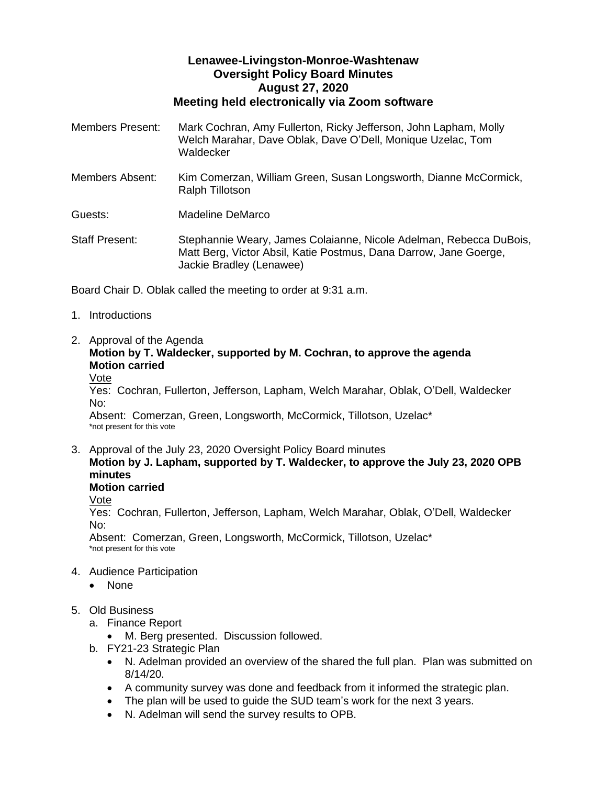## **Lenawee-Livingston-Monroe-Washtenaw Oversight Policy Board Minutes August 27, 2020 Meeting held electronically via Zoom software**

| <b>Members Present:</b> | Mark Cochran, Amy Fullerton, Ricky Jefferson, John Lapham, Molly<br>Welch Marahar, Dave Oblak, Dave O'Dell, Monique Uzelac, Tom<br>Waldecker                        |
|-------------------------|---------------------------------------------------------------------------------------------------------------------------------------------------------------------|
| Members Absent:         | Kim Comerzan, William Green, Susan Longsworth, Dianne McCormick,<br><b>Ralph Tillotson</b>                                                                          |
| Guests:                 | Madeline DeMarco                                                                                                                                                    |
| <b>Staff Present:</b>   | Stephannie Weary, James Colaianne, Nicole Adelman, Rebecca DuBois,<br>Matt Berg, Victor Absil, Katie Postmus, Dana Darrow, Jane Goerge,<br>Jackie Bradley (Lenawee) |

Board Chair D. Oblak called the meeting to order at 9:31 a.m.

- 1. Introductions
- 2. Approval of the Agenda

## **Motion by T. Waldecker, supported by M. Cochran, to approve the agenda Motion carried**

Vote

Yes: Cochran, Fullerton, Jefferson, Lapham, Welch Marahar, Oblak, O'Dell, Waldecker No:

Absent: Comerzan, Green, Longsworth, McCormick, Tillotson, Uzelac\* \*not present for this vote

- 3. Approval of the July 23, 2020 Oversight Policy Board minutes **Motion by J. Lapham, supported by T. Waldecker, to approve the July 23, 2020 OPB** 
	- **minutes**

**Motion carried**

Vote

Yes: Cochran, Fullerton, Jefferson, Lapham, Welch Marahar, Oblak, O'Dell, Waldecker No:

Absent: Comerzan, Green, Longsworth, McCormick, Tillotson, Uzelac\* \*not present for this vote

- 4. Audience Participation
	- None
- 5. Old Business
	- a. Finance Report

M. Berg presented. Discussion followed.

- b. FY21-23 Strategic Plan
	- N. Adelman provided an overview of the shared the full plan. Plan was submitted on 8/14/20.
	- A community survey was done and feedback from it informed the strategic plan.
	- The plan will be used to guide the SUD team's work for the next 3 years.
	- N. Adelman will send the survey results to OPB.